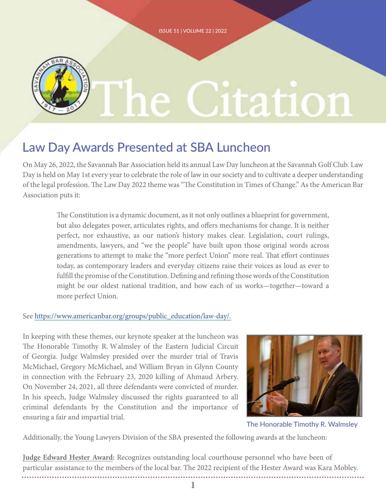

## Law Day Awards Presented at SBA Luncheon

On May 26, 2022, the Savannah Bar Association held its annual Law Day luncheon at the Savannah Golf Club. Law Day is held on May 1st every year to celebrate the role of law in our society and to cultivate a deeper understanding of the legal profession. The Law Day 2022 theme was "The Constitution in Times of Change." As the American Bar Association puts it:

The Constitution is a dynamic document, as it not only outlines a blueprint for government, but also delegates power, articulates rights, and offers mechanisms for change. It is neither perfect, nor exhaustive, as our nation's history makes clear. Legislation, court rulings, amendments, lawyers, and "we the people" have built upon those original words across generations to attempt to make the "more perfect Union" more real. That effort continues today, as contemporary leaders and everyday citizens raise their voices as loud as ever to fulfill the promise of the Constitution. Defining and refining those words of the Constitution might be our oldest national tradition, and how each of us works—together—toward a more perfect Union.

#### See [https://www.americanbar.org/groups/public\\_education/law-day/.](https://www.americanbar.org/groups/public_education/law-day/.)

In keeping with these themes, our keynote speaker at the luncheon was The Honorable Timothy R. Walmsley of the Eastern Judicial Circuit of Georgia. Judge Walmsley presided over the murder trial of Travis McMichael, Gregory McMichael, and William Bryan in Glynn County in connection with the February 23, 2020 killing of Ahmaud Arbery. On November 24, 2021, all three defendants were convicted of murder. In his speech, Judge Walmsley discussed the rights guaranteed to all criminal defendants by the Constitution and the importance of ensuring a fair and impartial trial.



The Honorable Timothy R. Walmsley

Additionally, the Young Lawyers Division of the SBA presented the following awards at the luncheon:

**Judge Edward Hester Award:** Recognizes outstanding local courthouse personnel who have been of particular assistance to the members of the local bar. The 2022 recipient of the Hester Award was Kara Mobley.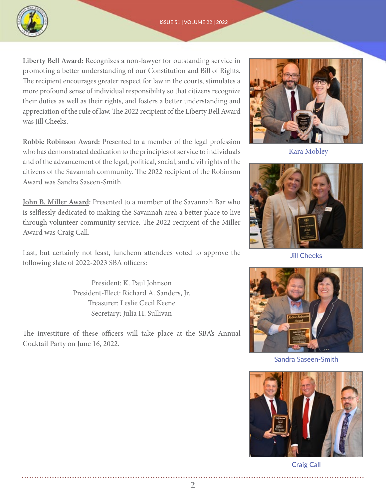

**Liberty Bell Award:** Recognizes a non-lawyer for outstanding service in promoting a better understanding of our Constitution and Bill of Rights. The recipient encourages greater respect for law in the courts, stimulates a more profound sense of individual responsibility so that citizens recognize their duties as well as their rights, and fosters a better understanding and appreciation of the rule of law. The 2022 recipient of the Liberty Bell Award was Jill Cheeks.

**Robbie Robinson Award:** Presented to a member of the legal profession who has demonstrated dedication to the principles of service to individuals and of the advancement of the legal, political, social, and civil rights of the citizens of the Savannah community. The 2022 recipient of the Robinson Award was Sandra Saseen-Smith.

**John B. Miller Award:** Presented to a member of the Savannah Bar who is selflessly dedicated to making the Savannah area a better place to live through volunteer community service. The 2022 recipient of the Miller Award was Craig Call.

Last, but certainly not least, luncheon attendees voted to approve the following slate of 2022-2023 SBA officers:

> President: K. Paul Johnson President-Elect: Richard A. Sanders, Jr. Treasurer: Leslie Cecil Keene Secretary: Julia H. Sullivan

The investiture of these officers will take place at the SBA's Annual Cocktail Party on June 16, 2022.



Kara Mobley



Jill Cheeks



Sandra Saseen-Smith



Craig Call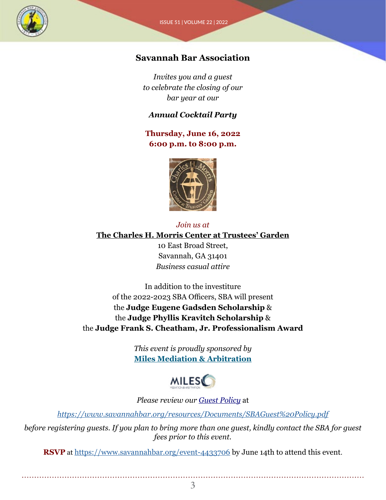

#### **Savannah Bar Association**

*Invites you and a guest to celebrate the closing of our bar year at our*

#### *Annual Cocktail Party*

**Thursday, June 16, 2022 6:00 p.m. to 8:00 p.m.**



#### *Join us at*

#### **[The Charles H. Morris Center at Trustees' Garden](https://www.savannahbar.org/EmailTracker/LinkTracker.ashx?linkAndRecipientCode=a0QUjW48pcHbQaKIwvi3bxBgPYUb9haAiAYqwUnRMUuyEKPgRgkNz%2fUubi6acJjzW418DeZ9FWpyFtHiTOx4m%2bhxtoE8iEtMyLW7%2b7EifRk%3d)**

10 East Broad Street, Savannah, GA 31401 *Business casual attire*

In addition to the investiture of the 2022-2023 SBA Officers, SBA will present the **Judge Eugene Gadsden Scholarship** & the **Judge Phyllis Kravitch Scholarship** & the **Judge Frank S. Cheatham, Jr. Professionalism Award**

> *This event is proudly sponsored by* **[Miles Mediation & Arbitration](https://www.savannahbar.org/EmailTracker/LinkTracker.ashx?linkAndRecipientCode=dhZDyHvf7ucIq%2fWqIOxjvO2ioVYLhJMC%2fyQM6lBWNUzD%2f6bLL%2bGyvdyFKD22v99mJpPcbbc5SPjZ8ln7hm2lk7%2bVgcuVNHQ6dUQLdxFxX6s%3d)**



*Please review our [Guest Policy](https://www.savannahbar.org/EmailTracker/LinkTracker.ashx?linkAndRecipientCode=JzimZJegPrJQ0kBUODeut%2bVKi8ImQVK7flJDIC%2flokexoq75W%2fMTpVwoMxyeH5QDqrAG90c1AKN74h1BNG%2fKJHBGwJCs9hYYBTL8hTrvcTM%3d)* at

*<https://www.savannahbar.org/resources/Documents/SBAGuest%20Policy.pdf>*

*before registering guests. If you plan to bring more than one guest, kindly contact the SBA for guest fees prior to this event.*

**RSVP** at <https://www.savannahbar.org/event-4433706> by June 14th to attend this event.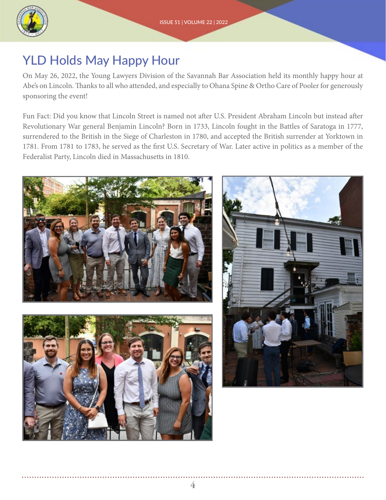

## YLD Holds May Happy Hour

On May 26, 2022, the Young Lawyers Division of the Savannah Bar Association held its monthly happy hour at Abe's on Lincoln. Thanks to all who attended, and especially to Ohana Spine & Ortho Care of Pooler for generously sponsoring the event!

Fun Fact: Did you know that Lincoln Street is named not after U.S. President Abraham Lincoln but instead after Revolutionary War general Benjamin Lincoln? Born in 1733, Lincoln fought in the Battles of Saratoga in 1777, surrendered to the British in the Siege of Charleston in 1780, and accepted the British surrender at Yorktown in 1781. From 1781 to 1783, he served as the first U.S. Secretary of War. Later active in politics as a member of the Federalist Party, Lincoln died in Massachusetts in 1810.

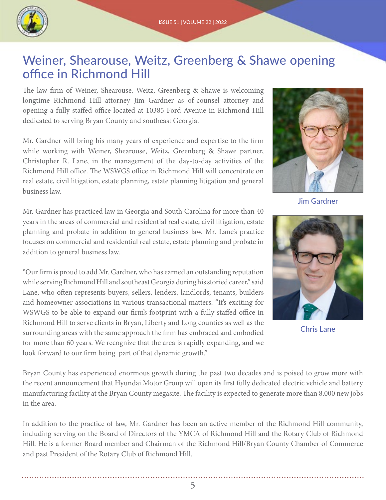

### Weiner, Shearouse, Weitz, Greenberg & Shawe opening office in Richmond Hill

The law firm of Weiner, Shearouse, Weitz, Greenberg & Shawe is welcoming longtime Richmond Hill attorney Jim Gardner as of-counsel attorney and opening a fully staffed office located at 10385 Ford Avenue in Richmond Hill dedicated to serving Bryan County and southeast Georgia.

Mr. Gardner will bring his many years of experience and expertise to the firm while working with Weiner, Shearouse, Weitz, Greenberg & Shawe partner, Christopher R. Lane, in the management of the day-to-day activities of the Richmond Hill office. The WSWGS office in Richmond Hill will concentrate on real estate, civil litigation, estate planning, estate planning litigation and general business law.

Mr. Gardner has practiced law in Georgia and South Carolina for more than 40 years in the areas of commercial and residential real estate, civil litigation, estate planning and probate in addition to general business law. Mr. Lane's practice focuses on commercial and residential real estate, estate planning and probate in addition to general business law.

"Our firm is proud to add Mr. Gardner, who has earned an outstanding reputation while serving Richmond Hill and southeast Georgia during his storied career," said Lane, who often represents buyers, sellers, lenders, landlords, tenants, builders and homeowner associations in various transactional matters. "It's exciting for WSWGS to be able to expand our firm's footprint with a fully staffed office in Richmond Hill to serve clients in Bryan, Liberty and Long counties as well as the surrounding areas with the same approach the firm has embraced and embodied for more than 60 years. We recognize that the area is rapidly expanding, and we look forward to our firm being part of that dynamic growth."



Jim Gardner



Chris Lane

Bryan County has experienced enormous growth during the past two decades and is poised to grow more with the recent announcement that Hyundai Motor Group will open its first fully dedicated electric vehicle and battery manufacturing facility at the Bryan County megasite. The facility is expected to generate more than 8,000 new jobs in the area.

In addition to the practice of law, Mr. Gardner has been an active member of the Richmond Hill community, including serving on the Board of Directors of the YMCA of Richmond Hill and the Rotary Club of Richmond Hill. He is a former Board member and Chairman of the Richmond Hill/Bryan County Chamber of Commerce and past President of the Rotary Club of Richmond Hill.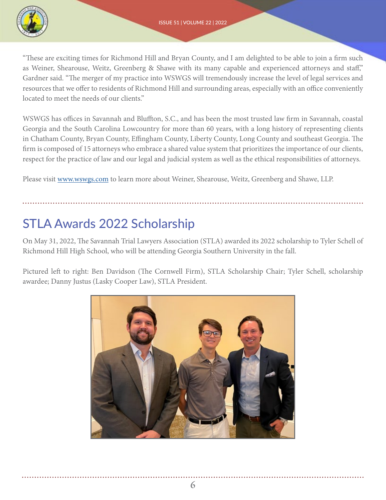

"These are exciting times for Richmond Hill and Bryan County, and I am delighted to be able to join a firm such as Weiner, Shearouse, Weitz, Greenberg & Shawe with its many capable and experienced attorneys and staff," Gardner said. "The merger of my practice into WSWGS will tremendously increase the level of legal services and resources that we offer to residents of Richmond Hill and surrounding areas, especially with an office conveniently located to meet the needs of our clients."

WSWGS has offices in Savannah and Bluffton, S.C., and has been the most trusted law firm in Savannah, coastal Georgia and the South Carolina Lowcountry for more than 60 years, with a long history of representing clients in Chatham County, Bryan County, Effingham County, Liberty County, Long County and southeast Georgia. The firm is composed of 15 attorneys who embrace a shared value system that prioritizes the importance of our clients, respect for the practice of law and our legal and judicial system as well as the ethical responsibilities of attorneys.

Please visit [www.wswgs.com](http://www.wswgs.com) to learn more about Weiner, Shearouse, Weitz, Greenberg and Shawe, LLP.

# STLA Awards 2022 Scholarship

On May 31, 2022, The Savannah Trial Lawyers Association (STLA) awarded its 2022 scholarship to Tyler Schell of Richmond Hill High School, who will be attending Georgia Southern University in the fall.

Pictured left to right: Ben Davidson (The Cornwell Firm), STLA Scholarship Chair; Tyler Schell, scholarship awardee; Danny Justus (Lasky Cooper Law), STLA President.

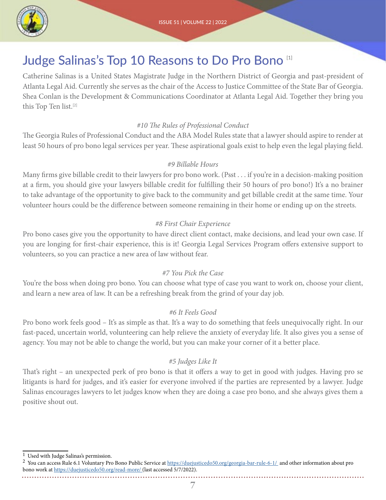

## Judge Salinas's Top 10 Reasons to Do Pro Bono [1]

Catherine Salinas is a United States Magistrate Judge in the Northern District of Georgia and past-president of Atlanta Legal Aid. Currently she serves as the chair of the Access to Justice Committee of the State Bar of Georgia. Shea Conlan is the Development & Communications Coordinator at Atlanta Legal Aid. Together they bring you this Top Ten list.[2]

#### *#10 The Rules of Professional Conduct*

The Georgia Rules of Professional Conduct and the ABA Model Rules state that a lawyer should aspire to render at least 50 hours of pro bono legal services per year. These aspirational goals exist to help even the legal playing field.

#### *#9 Billable Hours*

Many firms give billable credit to their lawyers for pro bono work. (Psst . . . if you're in a decision-making position at a firm, you should give your lawyers billable credit for fulfilling their 50 hours of pro bono!) It's a no brainer to take advantage of the opportunity to give back to the community and get billable credit at the same time. Your volunteer hours could be the difference between someone remaining in their home or ending up on the streets.

#### *#8 First Chair Experience*

Pro bono cases give you the opportunity to have direct client contact, make decisions, and lead your own case. If you are longing for first-chair experience, this is it! Georgia Legal Services Program offers extensive support to volunteers, so you can practice a new area of law without fear.

#### *#7 You Pick the Case*

You're the boss when doing pro bono. You can choose what type of case you want to work on, choose your client, and learn a new area of law. It can be a refreshing break from the grind of your day job.

#### *#6 It Feels Good*

Pro bono work feels good – It's as simple as that. It's a way to do something that feels unequivocally right. In our fast-paced, uncertain world, volunteering can help relieve the anxiety of everyday life. It also gives you a sense of agency. You may not be able to change the world, but you can make your corner of it a better place.

#### *#5 Judges Like It*

That's right – an unexpected perk of pro bono is that it offers a way to get in good with judges. Having pro se litigants is hard for judges, and it's easier for everyone involved if the parties are represented by a lawyer. Judge Salinas encourages lawyers to let judges know when they are doing a case pro bono, and she always gives them a positive shout out.

 $^{\rm 1}$  Used with Judge Salinas's permission.

<sup>&</sup>lt;sup>2</sup> You can access Rule 6.1 Voluntary Pro Bono Public Service at [https://duejusticedo50.org/georgia-bar-rule-6-1/](https://duejusticedo50.org/georgia-bar-rule-6-1/ ) and other information about pro bono work at [https://duejusticedo50.org/read-more/ \(](https://duejusticedo50.org/read-more/ )last accessed 5/7/2022).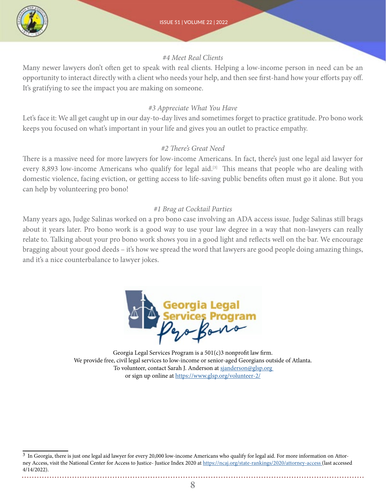

#### *#4 Meet Real Clients*

Many newer lawyers don't often get to speak with real clients. Helping a low-income person in need can be an opportunity to interact directly with a client who needs your help, and then see first-hand how your efforts pay off. It's gratifying to see the impact you are making on someone.

#### *#3 Appreciate What You Have*

Let's face it: We all get caught up in our day-to-day lives and sometimes forget to practice gratitude. Pro bono work keeps you focused on what's important in your life and gives you an outlet to practice empathy.

#### *#2 There's Great Need*

There is a massive need for more lawyers for low-income Americans. In fact, there's just one legal aid lawyer for every 8,893 low-income Americans who qualify for legal aid.<sup>[3]</sup> This means that people who are dealing with domestic violence, facing eviction, or getting access to life-saving public benefits often must go it alone. But you can help by volunteering pro bono!

#### *#1 Brag at Cocktail Parties*

Many years ago, Judge Salinas worked on a pro bono case involving an ADA access issue. Judge Salinas still brags about it years later. Pro bono work is a good way to use your law degree in a way that non-lawyers can really relate to. Talking about your pro bono work shows you in a good light and reflects well on the bar. We encourage bragging about your good deeds – it's how we spread the word that lawyers are good people doing amazing things, and it's a nice counterbalance to lawyer jokes.



Georgia Legal Services Program is a 501(c)3 nonprofit law firm. We provide free, civil legal services to low-income or senior-aged Georgians outside of Atlanta. To volunteer, contact Sarah J. Anderson at sjanderson@glsp.org or sign up online at<https://www.glsp.org/volunteer-2/>

<sup>&</sup>lt;sup>3</sup> In Georgia, there is just one legal aid lawyer for every 20,000 low-income Americans who qualify for legal aid. For more information on Attorney Access, visit the National Center for Access to Justice- Justice Index 2020 at [https://ncaj.org/state-rankings/2020/attorney-access \(](https://ncaj.org/state-rankings/2020/attorney-access )last accessed 4/14/2022).